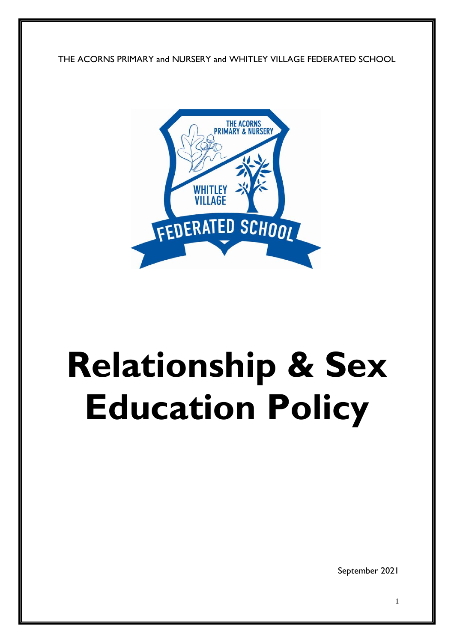THE ACORNS PRIMARY and NURSERY and WHITLEY VILLAGE FEDERATED SCHOOL



# **Relationship & Sex Education Policy**

September 2021

1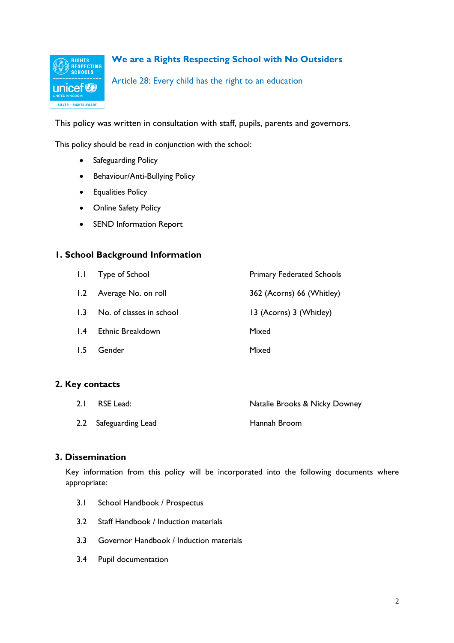

**We are a Rights Respecting School with No Outsiders**

Article 28: Every child has the right to an education

This policy was written in consultation with staff, pupils, parents and governors.

This policy should be read in conjunction with the school:

- Safeguarding Policy
- Behaviour/Anti-Bullying Policy
- **•** Equalities Policy
- Online Safety Policy
- SEND Information Report

## **1. School Background Information**

| 1.1             | Type of School           | <b>Primary Federated Schools</b> |
|-----------------|--------------------------|----------------------------------|
|                 | 1.2 Average No. on roll  | 362 (Acorns) 66 (Whitley)        |
| 1.3             | No. of classes in school | 13 (Acorns) 3 (Whitley)          |
| $\mathsf{I}$ .4 | Ethnic Breakdown         | Mixed                            |
| 1.5             | Gender                   | Mixed                            |

## **2. Key contacts**

| 2.1 RSE Lead:         | Natalie Brooks & Nicky Downey |
|-----------------------|-------------------------------|
| 2.2 Safeguarding Lead | Hannah Broom                  |

## **3. Dissemination**

Key information from this policy will be incorporated into the following documents where appropriate:

- 3.1 School Handbook / Prospectus
- 3.2 Staff Handbook / Induction materials
- 3.3 Governor Handbook / Induction materials
- 3.4 Pupil documentation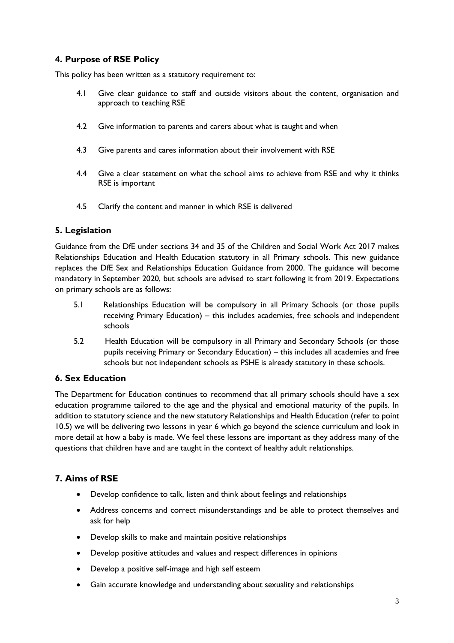# **4. Purpose of RSE Policy**

This policy has been written as a statutory requirement to:

- 4.1 Give clear guidance to staff and outside visitors about the content, organisation and approach to teaching RSE
- 4.2 Give information to parents and carers about what is taught and when
- 4.3 Give parents and cares information about their involvement with RSE
- 4.4 Give a clear statement on what the school aims to achieve from RSE and why it thinks RSE is important
- 4.5 Clarify the content and manner in which RSE is delivered

## **5. Legislation**

Guidance from the DfE under sections 34 and 35 of the Children and Social Work Act 2017 makes Relationships Education and Health Education statutory in all Primary schools. This new guidance replaces the DfE Sex and Relationships Education Guidance from 2000. The guidance will become mandatory in September 2020, but schools are advised to start following it from 2019. Expectations on primary schools are as follows:

- 5.1 Relationships Education will be compulsory in all Primary Schools (or those pupils receiving Primary Education) – this includes academies, free schools and independent schools
- 5.2 Health Education will be compulsory in all Primary and Secondary Schools (or those pupils receiving Primary or Secondary Education) – this includes all academies and free schools but not independent schools as PSHE is already statutory in these schools.

# **6. Sex Education**

The Department for Education continues to recommend that all primary schools should have a sex education programme tailored to the age and the physical and emotional maturity of the pupils. In addition to statutory science and the new statutory Relationships and Health Education (refer to point 10.5) we will be delivering two lessons in year 6 which go beyond the science curriculum and look in more detail at how a baby is made. We feel these lessons are important as they address many of the questions that children have and are taught in the context of healthy adult relationships.

# **7. Aims of RSE**

- Develop confidence to talk, listen and think about feelings and relationships
- Address concerns and correct misunderstandings and be able to protect themselves and ask for help
- Develop skills to make and maintain positive relationships
- Develop positive attitudes and values and respect differences in opinions
- Develop a positive self-image and high self esteem
- Gain accurate knowledge and understanding about sexuality and relationships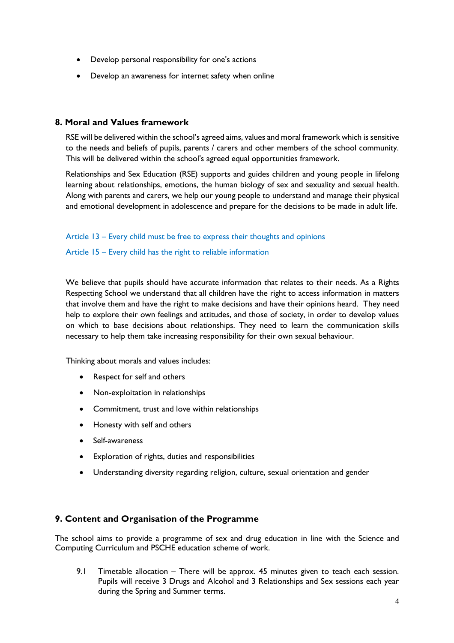- Develop personal responsibility for one's actions
- Develop an awareness for internet safety when online

## **8. Moral and Values framework**

RSE will be delivered within the school's agreed aims, values and moral framework which is sensitive to the needs and beliefs of pupils, parents / carers and other members of the school community. This will be delivered within the school's agreed equal opportunities framework.

Relationships and Sex Education (RSE) supports and guides children and young people in lifelong learning about relationships, emotions, the human biology of sex and sexuality and sexual health. Along with parents and carers, we help our young people to understand and manage their physical and emotional development in adolescence and prepare for the decisions to be made in adult life.

#### Article 13 – Every child must be free to express their thoughts and opinions

#### Article 15 – Every child has the right to reliable information

We believe that pupils should have accurate information that relates to their needs. As a Rights Respecting School we understand that all children have the right to access information in matters that involve them and have the right to make decisions and have their opinions heard. They need help to explore their own feelings and attitudes, and those of society, in order to develop values on which to base decisions about relationships. They need to learn the communication skills necessary to help them take increasing responsibility for their own sexual behaviour.

Thinking about morals and values includes:

- Respect for self and others
- Non-exploitation in relationships
- Commitment, trust and love within relationships
- Honesty with self and others
- Self-awareness
- Exploration of rights, duties and responsibilities
- Understanding diversity regarding religion, culture, sexual orientation and gender

## **9. Content and Organisation of the Programme**

The school aims to provide a programme of sex and drug education in line with the Science and Computing Curriculum and PSCHE education scheme of work.

9.1 Timetable allocation – There will be approx. 45 minutes given to teach each session. Pupils will receive 3 Drugs and Alcohol and 3 Relationships and Sex sessions each year during the Spring and Summer terms.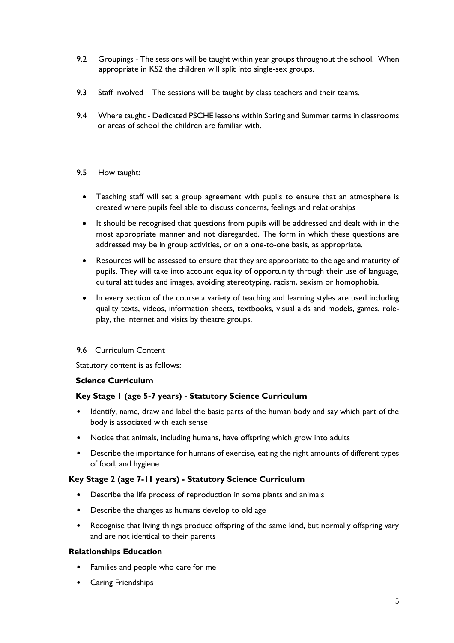- 9.2 Groupings The sessions will be taught within year groups throughout the school. When appropriate in KS2 the children will split into single-sex groups.
- 9.3 Staff Involved The sessions will be taught by class teachers and their teams.
- 9.4 Where taught Dedicated PSCHE lessons within Spring and Summer terms in classrooms or areas of school the children are familiar with.
- 9.5 How taught:
	- Teaching staff will set a group agreement with pupils to ensure that an atmosphere is created where pupils feel able to discuss concerns, feelings and relationships
	- It should be recognised that questions from pupils will be addressed and dealt with in the most appropriate manner and not disregarded. The form in which these questions are addressed may be in group activities, or on a one-to-one basis, as appropriate.
	- Resources will be assessed to ensure that they are appropriate to the age and maturity of pupils. They will take into account equality of opportunity through their use of language, cultural attitudes and images, avoiding stereotyping, racism, sexism or homophobia.
	- In every section of the course a variety of teaching and learning styles are used including quality texts, videos, information sheets, textbooks, visual aids and models, games, roleplay, the Internet and visits by theatre groups.

## 9.6 Curriculum Content

Statutory content is as follows:

#### **Science Curriculum**

## **Key Stage 1 (age 5-7 years) - Statutory Science Curriculum**

- Identify, name, draw and label the basic parts of the human body and say which part of the body is associated with each sense
- Notice that animals, including humans, have offspring which grow into adults
- Describe the importance for humans of exercise, eating the right amounts of different types of food, and hygiene

## **Key Stage 2 (age 7-11 years) - Statutory Science Curriculum**

- Describe the life process of reproduction in some plants and animals
- Describe the changes as humans develop to old age
- Recognise that living things produce offspring of the same kind, but normally offspring vary and are not identical to their parents

#### **Relationships Education**

- Families and people who care for me
- Caring Friendships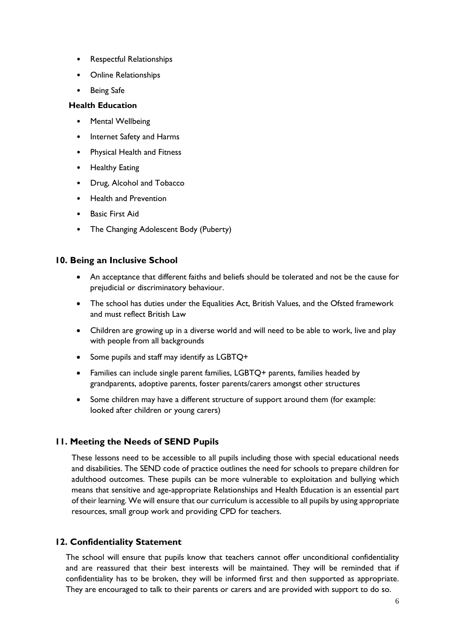- Respectful Relationships
- Online Relationships
- Being Safe

#### **Health Education**

- **Mental Wellbeing**
- Internet Safety and Harms
- Physical Health and Fitness
- Healthy Eating
- Drug, Alcohol and Tobacco
- Health and Prevention
- Basic First Aid
- The Changing Adolescent Body (Puberty)

## **10. Being an Inclusive School**

- An acceptance that different faiths and beliefs should be tolerated and not be the cause for prejudicial or discriminatory behaviour.
- The school has duties under the Equalities Act, British Values, and the Ofsted framework and must reflect British Law
- Children are growing up in a diverse world and will need to be able to work, live and play with people from all backgrounds
- Some pupils and staff may identify as LGBTQ+
- Families can include single parent families, LGBTQ+ parents, families headed by grandparents, adoptive parents, foster parents/carers amongst other structures
- Some children may have a different structure of support around them (for example: looked after children or young carers)

## **11. Meeting the Needs of SEND Pupils**

These lessons need to be accessible to all pupils including those with special educational needs and disabilities. The SEND code of practice outlines the need for schools to prepare children for adulthood outcomes. These pupils can be more vulnerable to exploitation and bullying which means that sensitive and age-appropriate Relationships and Health Education is an essential part of their learning. We will ensure that our curriculum is accessible to all pupils by using appropriate resources, small group work and providing CPD for teachers.

## **12. Confidentiality Statement**

The school will ensure that pupils know that teachers cannot offer unconditional confidentiality and are reassured that their best interests will be maintained. They will be reminded that if confidentiality has to be broken, they will be informed first and then supported as appropriate. They are encouraged to talk to their parents or carers and are provided with support to do so.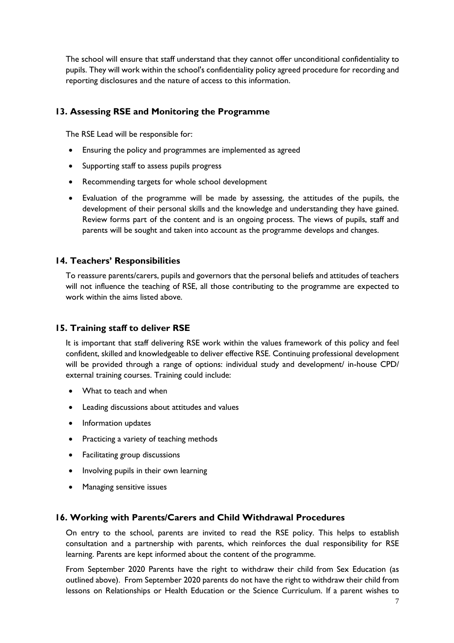The school will ensure that staff understand that they cannot offer unconditional confidentiality to pupils. They will work within the school's confidentiality policy agreed procedure for recording and reporting disclosures and the nature of access to this information.

# **13. Assessing RSE and Monitoring the Programme**

The RSE Lead will be responsible for:

- Ensuring the policy and programmes are implemented as agreed
- Supporting staff to assess pupils progress
- Recommending targets for whole school development
- Evaluation of the programme will be made by assessing, the attitudes of the pupils, the development of their personal skills and the knowledge and understanding they have gained. Review forms part of the content and is an ongoing process. The views of pupils, staff and parents will be sought and taken into account as the programme develops and changes.

## **14. Teachers' Responsibilities**

To reassure parents/carers, pupils and governors that the personal beliefs and attitudes of teachers will not influence the teaching of RSE, all those contributing to the programme are expected to work within the aims listed above.

## **15. Training staff to deliver RSE**

It is important that staff delivering RSE work within the values framework of this policy and feel confident, skilled and knowledgeable to deliver effective RSE. Continuing professional development will be provided through a range of options: individual study and development/ in-house CPD/ external training courses. Training could include:

- What to teach and when
- Leading discussions about attitudes and values
- Information updates
- Practicing a variety of teaching methods
- Facilitating group discussions
- Involving pupils in their own learning
- Managing sensitive issues

## **16. Working with Parents/Carers and Child Withdrawal Procedures**

On entry to the school, parents are invited to read the RSE policy. This helps to establish consultation and a partnership with parents, which reinforces the dual responsibility for RSE learning. Parents are kept informed about the content of the programme.

From September 2020 Parents have the right to withdraw their child from Sex Education (as outlined above). From September 2020 parents do not have the right to withdraw their child from lessons on Relationships or Health Education or the Science Curriculum. If a parent wishes to